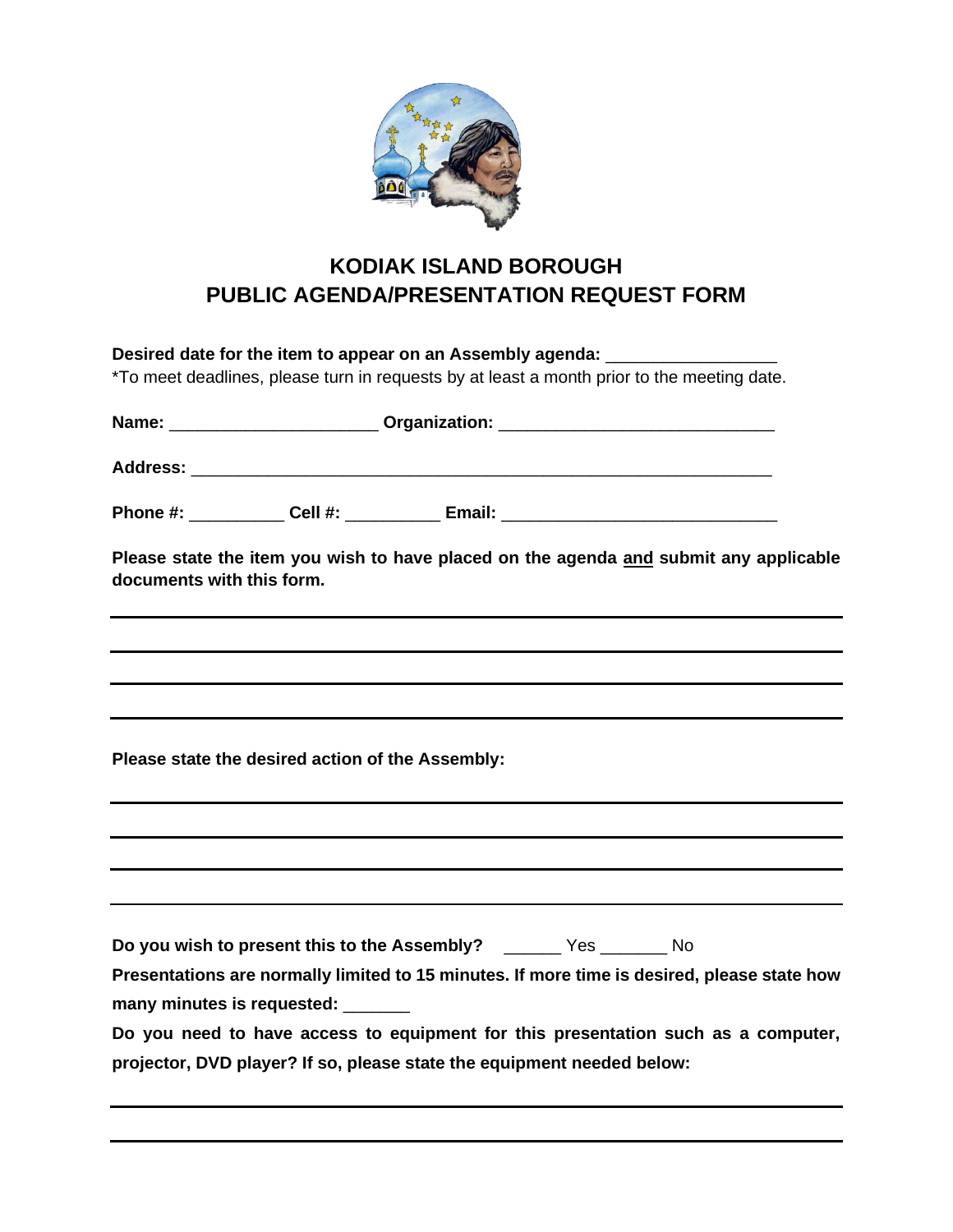

## **KODIAK ISLAND BOROUGH PUBLIC AGENDA/PRESENTATION REQUEST FORM**

| Desired date for the item to appear on an Assembly agenda:<br>*To meet deadlines, please turn in requests by at least a month prior to the meeting date. |                                                                                                                                                             |  |  |  |  |
|----------------------------------------------------------------------------------------------------------------------------------------------------------|-------------------------------------------------------------------------------------------------------------------------------------------------------------|--|--|--|--|
|                                                                                                                                                          |                                                                                                                                                             |  |  |  |  |
|                                                                                                                                                          |                                                                                                                                                             |  |  |  |  |
|                                                                                                                                                          | Phone #: _____________ Cell #: _____________ Email: _____________________________                                                                           |  |  |  |  |
| documents with this form.                                                                                                                                | Please state the item you wish to have placed on the agenda and submit any applicable                                                                       |  |  |  |  |
|                                                                                                                                                          |                                                                                                                                                             |  |  |  |  |
|                                                                                                                                                          |                                                                                                                                                             |  |  |  |  |
|                                                                                                                                                          | Please state the desired action of the Assembly:                                                                                                            |  |  |  |  |
|                                                                                                                                                          |                                                                                                                                                             |  |  |  |  |
|                                                                                                                                                          |                                                                                                                                                             |  |  |  |  |
|                                                                                                                                                          | Do you wish to present this to the Assembly? _______ Yes _______ No                                                                                         |  |  |  |  |
|                                                                                                                                                          | Presentations are normally limited to 15 minutes. If more time is desired, please state how                                                                 |  |  |  |  |
|                                                                                                                                                          | many minutes is requested:                                                                                                                                  |  |  |  |  |
|                                                                                                                                                          | Do you need to have access to equipment for this presentation such as a computer,<br>projector, DVD player? If so, please state the equipment needed below: |  |  |  |  |
|                                                                                                                                                          |                                                                                                                                                             |  |  |  |  |